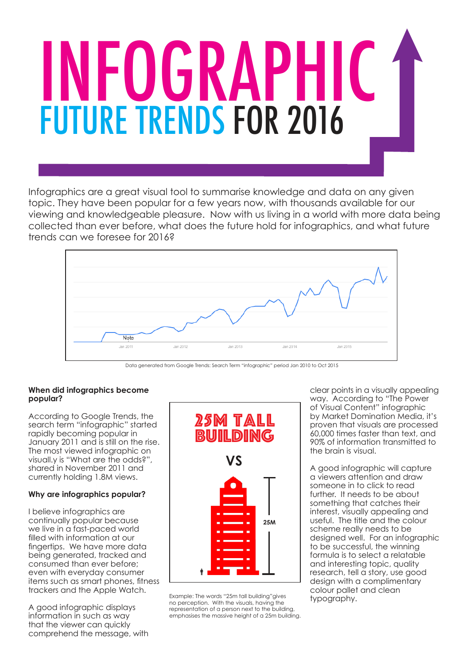# INFOGRAPHIC FUTURE TRENDS FOR 2016

Infographics are a great visual tool to summarise knowledge and data on any given topic. They have been popular for a few years now, with thousands available for our viewing and knowledgeable pleasure. Now with us living in a world with more data being collected than ever before, what does the future hold for infographics, and what future trends can we foresee for 2016?



Data generated from Google Trends: Search Term "infographic" period Jan 2010 to Oct 2015

#### **When did infographics become popular?**

According to Google Trends, the search term "infographic" started rapidly becoming popular in January 2011 and is still on the rise. The most viewed infographic on visuall.y is "What are the odds?", shared in November 2011 and currently holding 1.8M views.

#### **Why are infographics popular?**

I believe infographics are continually popular because we live in a fast-paced world filled with information at our fingertips. We have more data being generated, tracked and consumed than ever before; even with everyday consumer items such as smart phones, fitness trackers and the Apple Watch.

A good infographic displays information in such as way that the viewer can quickly comprehend the message, with



Example: The words "25m tall building" gives typography. no perception. With the visuals, having the representation of a person next to the building, emphasises the massive height of a 25m building.

clear points in a visually appealing way. According to "The Power of Visual Content" infographic by Market Domination Media, it's proven that visuals are processed 60,000 times faster than text, and 90% of information transmitted to the brain is visual.

A good infographic will capture a viewers attention and draw someone in to click to read further. It needs to be about something that catches their interest, visually appealing and useful. The title and the colour scheme really needs to be designed well. For an infographic to be successful, the winning formula is to select a relatable and interesting topic, quality research, tell a story, use good design with a complimentary colour pallet and clean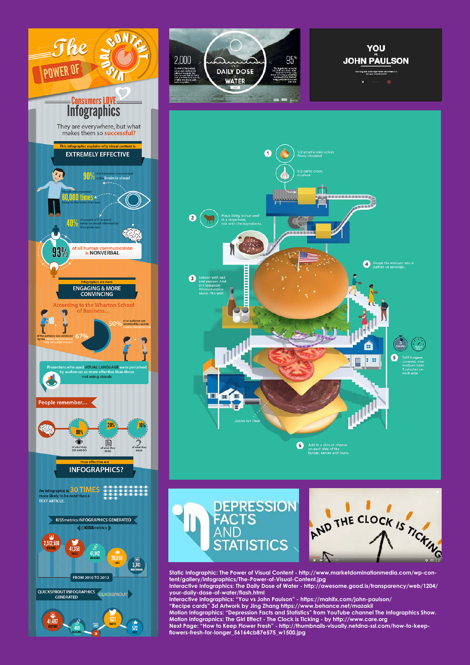

 $41.487$ 

 $\overline{572}$ 









**Static Infographic: The Power of Visual Content - http://www.marketdominationmedia.com/wp-content/gallery/infographics/The-Power-of-Visual-Content.jpg Interactive Infographics: The Daily Dose of Water - http://awesome.good.is/transparency/web/1204/ your-daily-dose-of-water/flash.html Interactive Infographics: "You vs John Paulson" - https://mahifx.com/john-paulson/**

**"Recipe cards" 3d Artwork by Jing Zhang https://www.behance.net/mazakii Motion Infographics: "Depression Facts and Statistics" from YouTube channel The Infographics Show. Motion Infograpnics: The Girl Effect - The Clock is Ticking - by http://www.care.org Next Page: "How to Keep Flower Fresh" - http://thumbnails-visually.netdna-ssl.com/how-to-keepflowers-fresh-for-longer\_56164cb87e575\_w1500.jpg**